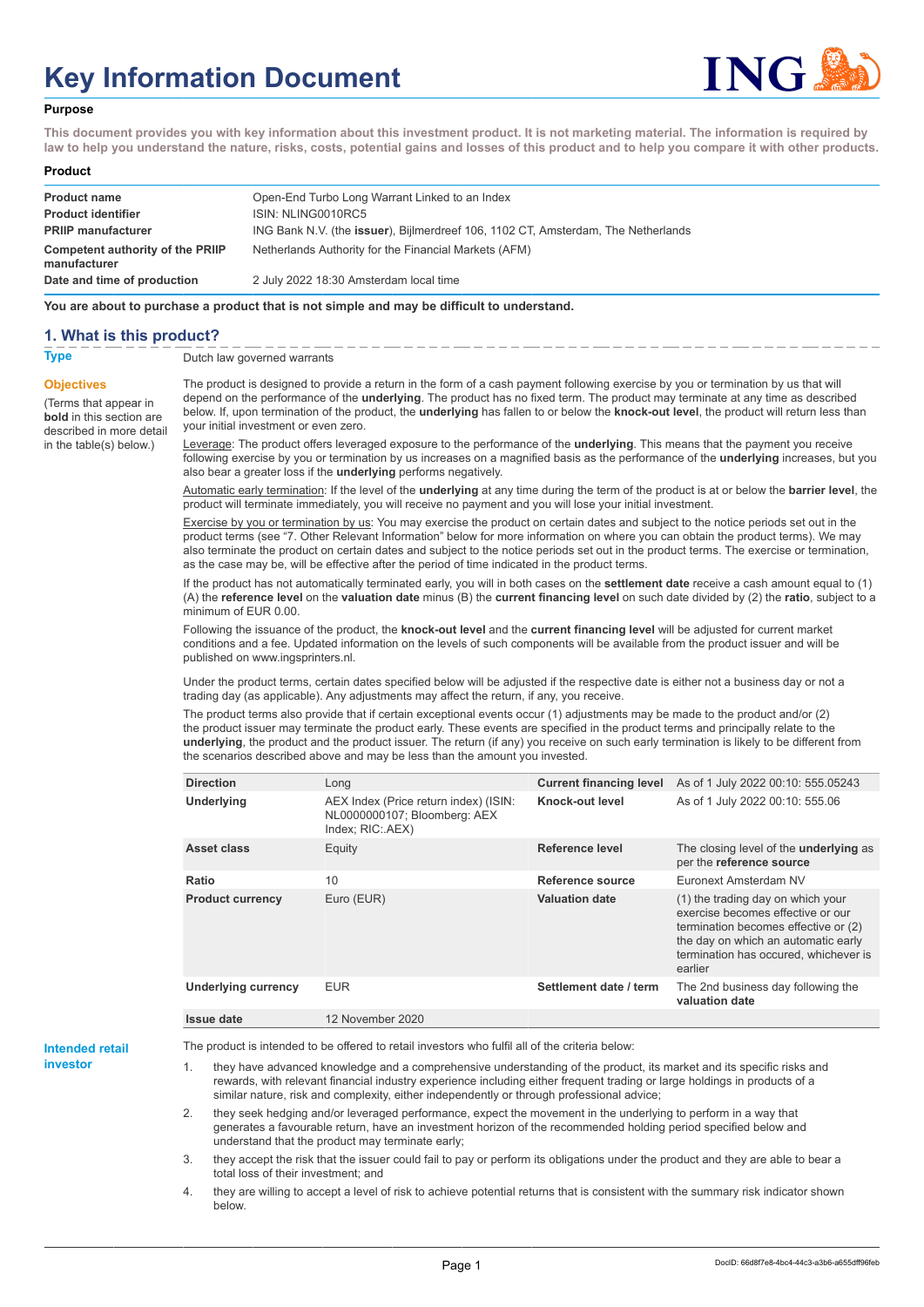# **Key Information Document**



#### **Purpose**

**This document provides you with key information about this investment product. It is not marketing material. The information is required by law to help you understand the nature, risks, costs, potential gains and losses of this product and to help you compare it with other products.**

#### **Product**

| <b>Product name</b><br><b>Product identifier</b> | Open-End Turbo Long Warrant Linked to an Index<br>ISIN: NLING0010RC5                      |
|--------------------------------------------------|-------------------------------------------------------------------------------------------|
| <b>PRIIP manufacturer</b>                        | ING Bank N.V. (the <b>issuer</b> ), Bijlmerdreef 106, 1102 CT, Amsterdam, The Netherlands |
| Competent authority of the PRIIP<br>manufacturer | Netherlands Authority for the Financial Markets (AFM)                                     |
| Date and time of production                      | 2 July 2022 18:30 Amsterdam local time                                                    |

**You are about to purchase a product that is not simple and may be difficult to understand.**

### **1. What is this product?**

**Objectives**

(Terms that appear in **bold** in this section are

in the table(s) below.)

**Type** Dutch law governed warrants

described in more detail The product is designed to provide a return in the form of a cash payment following exercise by you or termination by us that will depend on the performance of the **underlying**. The product has no fixed term. The product may terminate at any time as described below. If, upon termination of the product, the **underlying** has fallen to or below the **knock-out level**, the product will return less than your initial investment or even zero.

> Leverage: The product offers leveraged exposure to the performance of the **underlying**. This means that the payment you receive following exercise by you or termination by us increases on a magnified basis as the performance of the **underlying** increases, but you also bear a greater loss if the **underlying** performs negatively.

> Automatic early termination: If the level of the **underlying** at any time during the term of the product is at or below the **barrier level**, the product will terminate immediately, you will receive no payment and you will lose your initial investment.

Exercise by you or termination by us: You may exercise the product on certain dates and subject to the notice periods set out in the product terms (see "7. Other Relevant Information" below for more information on where you can obtain the product terms). We may also terminate the product on certain dates and subject to the notice periods set out in the product terms. The exercise or termination, as the case may be, will be effective after the period of time indicated in the product terms.

If the product has not automatically terminated early, you will in both cases on the **settlement date** receive a cash amount equal to (1) (A) the **reference level** on the **valuation date** minus (B) the **current financing level** on such date divided by (2) the **ratio**, subject to a minimum of EUR 0.00.

Following the issuance of the product, the **knock-out level** and the **current financing level** will be adjusted for current market conditions and a fee. Updated information on the levels of such components will be available from the product issuer and will be published on www.ingsprinters.nl.

Under the product terms, certain dates specified below will be adjusted if the respective date is either not a business day or not a trading day (as applicable). Any adjustments may affect the return, if any, you receive.

The product terms also provide that if certain exceptional events occur (1) adjustments may be made to the product and/or (2) the product issuer may terminate the product early. These events are specified in the product terms and principally relate to the **underlying**, the product and the product issuer. The return (if any) you receive on such early termination is likely to be different from the scenarios described above and may be less than the amount you invested.

| <b>Direction</b>           | Long                                                                                      | <b>Current financing level</b> | As of 1 July 2022 00:10: 555.05243                                                                                                                                                                        |
|----------------------------|-------------------------------------------------------------------------------------------|--------------------------------|-----------------------------------------------------------------------------------------------------------------------------------------------------------------------------------------------------------|
| <b>Underlying</b>          | AEX Index (Price return index) (ISIN:<br>NL0000000107; Bloomberg: AEX<br>Index; RIC: AEX) | Knock-out level                | As of 1 July 2022 00:10: 555.06                                                                                                                                                                           |
| Asset class                | Equity                                                                                    | Reference level                | The closing level of the <b>underlying</b> as<br>per the reference source                                                                                                                                 |
| Ratio                      | 10                                                                                        | Reference source               | Euronext Amsterdam NV                                                                                                                                                                                     |
| <b>Product currency</b>    | Euro (EUR)                                                                                | <b>Valuation date</b>          | (1) the trading day on which your<br>exercise becomes effective or our<br>termination becomes effective or (2)<br>the day on which an automatic early<br>termination has occured, whichever is<br>earlier |
| <b>Underlying currency</b> | <b>EUR</b>                                                                                | Settlement date / term         | The 2nd business day following the<br>valuation date                                                                                                                                                      |
| Issue date                 | 12 November 2020                                                                          |                                |                                                                                                                                                                                                           |

**Intended retail investor**

The product is intended to be offered to retail investors who fulfil all of the criteria below:

they have advanced knowledge and a comprehensive understanding of the product, its market and its specific risks and rewards, with relevant financial industry experience including either frequent trading or large holdings in products of a similar nature, risk and complexity, either independently or through professional advice;

2. they seek hedging and/or leveraged performance, expect the movement in the underlying to perform in a way that generates a favourable return, have an investment horizon of the recommended holding period specified below and understand that the product may terminate early;

3. they accept the risk that the issuer could fail to pay or perform its obligations under the product and they are able to bear a total loss of their investment; and

4. they are willing to accept a level of risk to achieve potential returns that is consistent with the summary risk indicator shown below.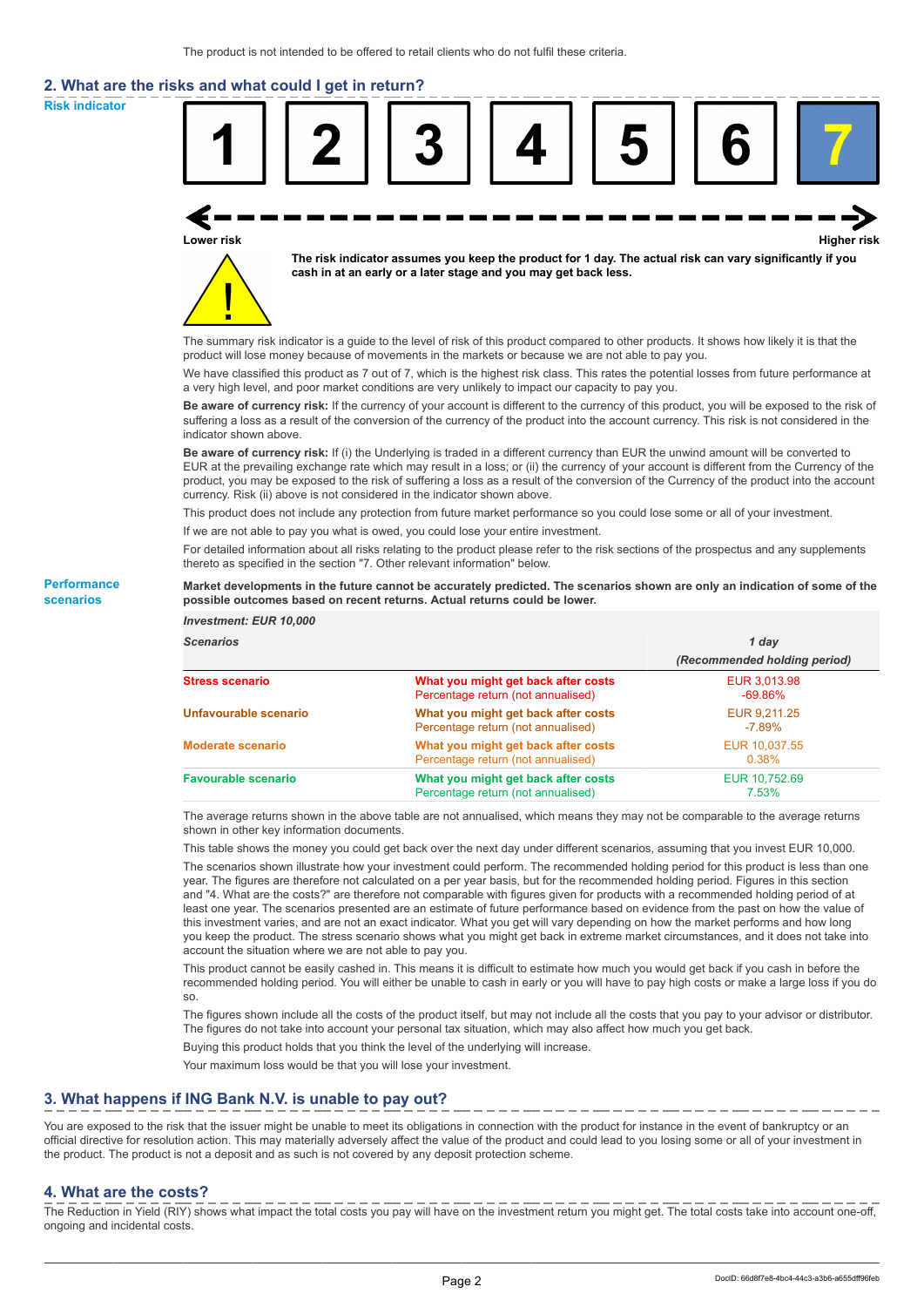# **2. What are the risks and what could I get in return?**

**Risk indicator**

**Performance scenarios**



thereto as specified in the section "7. Other relevant information" below.

#### **Market developments in the future cannot be accurately predicted. The scenarios shown are only an indication of some of the possible outcomes based on recent returns. Actual returns could be lower.**

| <b>Investment: EUR 10,000</b> |                                                                           |                              |
|-------------------------------|---------------------------------------------------------------------------|------------------------------|
| <b>Scenarios</b>              |                                                                           | 1 day                        |
|                               |                                                                           | (Recommended holding period) |
| <b>Stress scenario</b>        | What you might get back after costs<br>Percentage return (not annualised) | EUR 3,013.98<br>$-69.86\%$   |
| Unfavourable scenario         | What you might get back after costs<br>Percentage return (not annualised) | EUR 9.211.25<br>$-7.89%$     |
| <b>Moderate scenario</b>      | What you might get back after costs<br>Percentage return (not annualised) | EUR 10.037.55<br>0.38%       |
| <b>Favourable scenario</b>    | What you might get back after costs<br>Percentage return (not annualised) | EUR 10.752.69<br>7.53%       |

The average returns shown in the above table are not annualised, which means they may not be comparable to the average returns shown in other key information documents.

This table shows the money you could get back over the next day under different scenarios, assuming that you invest EUR 10,000.

The scenarios shown illustrate how your investment could perform. The recommended holding period for this product is less than one year. The figures are therefore not calculated on a per year basis, but for the recommended holding period. Figures in this section and "4. What are the costs?" are therefore not comparable with figures given for products with a recommended holding period of at least one year. The scenarios presented are an estimate of future performance based on evidence from the past on how the value of this investment varies, and are not an exact indicator. What you get will vary depending on how the market performs and how long you keep the product. The stress scenario shows what you might get back in extreme market circumstances, and it does not take into account the situation where we are not able to pay you.

This product cannot be easily cashed in. This means it is difficult to estimate how much you would get back if you cash in before the recommended holding period. You will either be unable to cash in early or you will have to pay high costs or make a large loss if you do so.

The figures shown include all the costs of the product itself, but may not include all the costs that you pay to your advisor or distributor. The figures do not take into account your personal tax situation, which may also affect how much you get back.

Buying this product holds that you think the level of the underlying will increase.

Your maximum loss would be that you will lose your investment.

## **3. What happens if ING Bank N.V. is unable to pay out?**

You are exposed to the risk that the issuer might be unable to meet its obligations in connection with the product for instance in the event of bankruptcy or an official directive for resolution action. This may materially adversely affect the value of the product and could lead to you losing some or all of your investment in the product. The product is not a deposit and as such is not covered by any deposit protection scheme.

### **4. What are the costs?**

The Reduction in Yield (RIY) shows what impact the total costs you pay will have on the investment return you might get. The total costs take into account one-off, ongoing and incidental costs.

DocID: 66d8f7e8-4bc4-44c3-a3b6-a655dff96feb